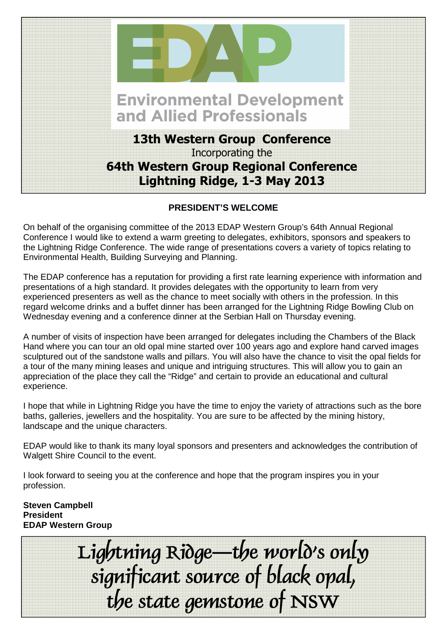

## **PRESIDENT'S WELCOME**

On behalf of the organising committee of the 2013 EDAP Western Group's 64th Annual Regional Conference I would like to extend a warm greeting to delegates, exhibitors, sponsors and speakers to the Lightning Ridge Conference. The wide range of presentations covers a variety of topics relating to Environmental Health, Building Surveying and Planning.

The EDAP conference has a reputation for providing a first rate learning experience with information and presentations of a high standard. It provides delegates with the opportunity to learn from very experienced presenters as well as the chance to meet socially with others in the profession. In this regard welcome drinks and a buffet dinner has been arranged for the Lightning Ridge Bowling Club on Wednesday evening and a conference dinner at the Serbian Hall on Thursday evening.

A number of visits of inspection have been arranged for delegates including the Chambers of the Black Hand where you can tour an old opal mine started over 100 years ago and explore hand carved images sculptured out of the sandstone walls and pillars. You will also have the chance to visit the opal fields for a tour of the many mining leases and unique and intriguing structures. This will allow you to gain an appreciation of the place they call the "Ridge" and certain to provide an educational and cultural experience.

I hope that while in Lightning Ridge you have the time to enjoy the variety of attractions such as the bore baths, galleries, jewellers and the hospitality. You are sure to be affected by the mining history, landscape and the unique characters.

EDAP would like to thank its many loyal sponsors and presenters and acknowledges the contribution of Walgett Shire Council to the event.

I look forward to seeing you at the conference and hope that the program inspires you in your profession.

**Steven Campbell President EDAP Western Group**